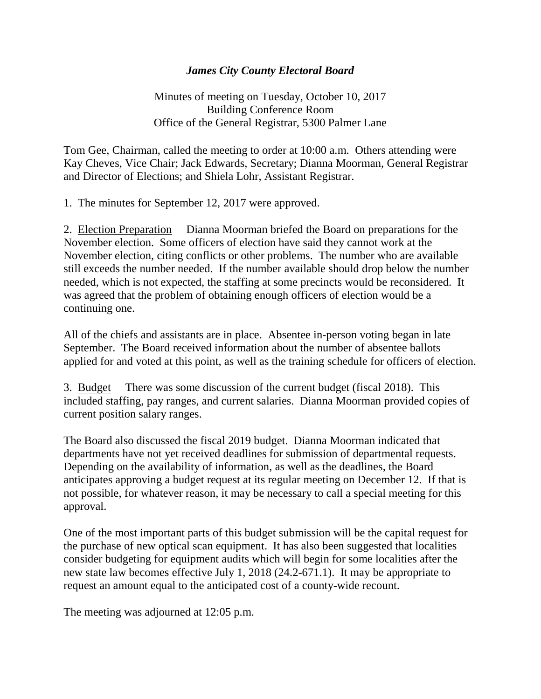## *James City County Electoral Board*

Minutes of meeting on Tuesday, October 10, 2017 Building Conference Room Office of the General Registrar, 5300 Palmer Lane

Tom Gee, Chairman, called the meeting to order at 10:00 a.m. Others attending were Kay Cheves, Vice Chair; Jack Edwards, Secretary; Dianna Moorman, General Registrar and Director of Elections; and Shiela Lohr, Assistant Registrar.

1. The minutes for September 12, 2017 were approved.

2. Election Preparation Dianna Moorman briefed the Board on preparations for the November election. Some officers of election have said they cannot work at the November election, citing conflicts or other problems. The number who are available still exceeds the number needed. If the number available should drop below the number needed, which is not expected, the staffing at some precincts would be reconsidered. It was agreed that the problem of obtaining enough officers of election would be a continuing one.

All of the chiefs and assistants are in place. Absentee in-person voting began in late September. The Board received information about the number of absentee ballots applied for and voted at this point, as well as the training schedule for officers of election.

3. Budget There was some discussion of the current budget (fiscal 2018). This included staffing, pay ranges, and current salaries. Dianna Moorman provided copies of current position salary ranges.

The Board also discussed the fiscal 2019 budget. Dianna Moorman indicated that departments have not yet received deadlines for submission of departmental requests. Depending on the availability of information, as well as the deadlines, the Board anticipates approving a budget request at its regular meeting on December 12. If that is not possible, for whatever reason, it may be necessary to call a special meeting for this approval.

One of the most important parts of this budget submission will be the capital request for the purchase of new optical scan equipment. It has also been suggested that localities consider budgeting for equipment audits which will begin for some localities after the new state law becomes effective July 1, 2018 (24.2-671.1). It may be appropriate to request an amount equal to the anticipated cost of a county-wide recount.

The meeting was adjourned at 12:05 p.m.